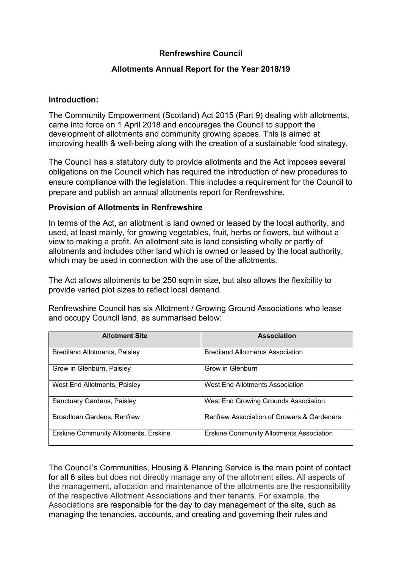## **Renfrewshire Council**

### **Allotments Annual Report for the Year 2018/19**

#### **Introduction:**

The Community Empowerment (Scotland) Act 2015 (Part 9) dealing with allotments, came into force on 1 April 2018 and encourages the Council to support the development of allotments and community growing spaces. This is aimed at improving health & well-being along with the creation of a sustainable food strategy.

The Council has a statutory duty to provide allotments and the Act imposes several obligations on the Council which has required the introduction of new procedures to ensure compliance with the legislation. This includes a requirement for the Council to prepare and publish an annual allotments report for Renfrewshire.

### **Provision of Allotments in Renfrewshire**

In terms of the Act, an allotment is land owned or leased by the local authority, and used, at least mainly, for growing vegetables, fruit, herbs or flowers, but without a view to making a profit. An allotment site is land consisting wholly or partly of allotments and includes other land which is owned or leased by the local authority, which may be used in connection with the use of the allotments.

The Act allows allotments to be 250 sqm in size, but also allows the flexibility to provide varied plot sizes to reflect local demand.

Renfrewshire Council has six Allotment / Growing Ground Associations who lease and occupy Council land, as summarised below:

| <b>Allotment Site</b>                        | <b>Association</b>                                    |
|----------------------------------------------|-------------------------------------------------------|
| Brediland Allotments, Paisley                | <b>Brediland Allotments Association</b>               |
| Grow in Glenburn, Paisley                    | Grow in Glenburn                                      |
| West End Allotments, Paisley                 | West End Allotments Association                       |
| Sanctuary Gardens, Paisley                   | West End Growing Grounds Association                  |
| Broadloan Gardens, Renfrew                   | <b>Renfrew Association of Growers &amp; Gardeners</b> |
| <b>Erskine Community Allotments, Erskine</b> | <b>Erskine Community Allotments Association</b>       |

The Council's Communities, Housing & Planning Service is the main point of contact for all 6 sites but does not directly manage any of the allotment sites. All aspects of the management, allocation and maintenance of the allotments are the responsibility of the respective Allotment Associations and their tenants. For example, the Associations are responsible for the day to day management of the site, such as managing the tenancies, accounts, and creating and governing their rules and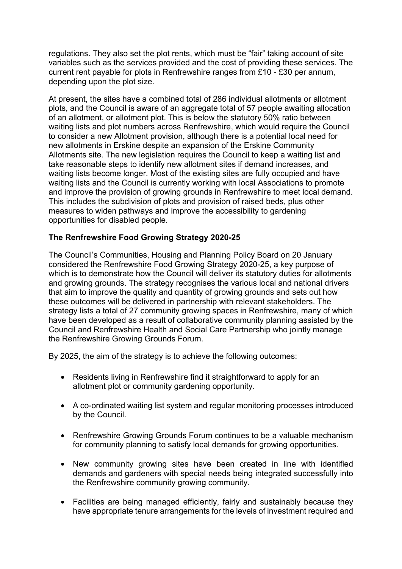regulations. They also set the plot rents, which must be "fair" taking account of site variables such as the services provided and the cost of providing these services. The current rent payable for plots in Renfrewshire ranges from £10 - £30 per annum, depending upon the plot size.

At present, the sites have a combined total of 286 individual allotments or allotment plots, and the Council is aware of an aggregate total of 57 people awaiting allocation of an allotment, or allotment plot. This is below the statutory 50% ratio between waiting lists and plot numbers across Renfrewshire, which would require the Council to consider a new Allotment provision, although there is a potential local need for new allotments in Erskine despite an expansion of the Erskine Community Allotments site. The new legislation requires the Council to keep a waiting list and take reasonable steps to identify new allotment sites if demand increases, and waiting lists become longer. Most of the existing sites are fully occupied and have waiting lists and the Council is currently working with local Associations to promote and improve the provision of growing grounds in Renfrewshire to meet local demand. This includes the subdivision of plots and provision of raised beds, plus other measures to widen pathways and improve the accessibility to gardening opportunities for disabled people.

## **The Renfrewshire Food Growing Strategy 2020-25**

The Council's Communities, Housing and Planning Policy Board on 20 January considered the Renfrewshire Food Growing Strategy 2020-25, a key purpose of which is to demonstrate how the Council will deliver its statutory duties for allotments and growing grounds. The strategy recognises the various local and national drivers that aim to improve the quality and quantity of growing grounds and sets out how these outcomes will be delivered in partnership with relevant stakeholders. The strategy lists a total of 27 community growing spaces in Renfrewshire, many of which have been developed as a result of collaborative community planning assisted by the Council and Renfrewshire Health and Social Care Partnership who jointly manage the Renfrewshire Growing Grounds Forum.

By 2025, the aim of the strategy is to achieve the following outcomes:

- Residents living in Renfrewshire find it straightforward to apply for an allotment plot or community gardening opportunity.
- A co-ordinated waiting list system and regular monitoring processes introduced by the Council.
- Renfrewshire Growing Grounds Forum continues to be a valuable mechanism for community planning to satisfy local demands for growing opportunities.
- New community growing sites have been created in line with identified demands and gardeners with special needs being integrated successfully into the Renfrewshire community growing community.
- Facilities are being managed efficiently, fairly and sustainably because they have appropriate tenure arrangements for the levels of investment required and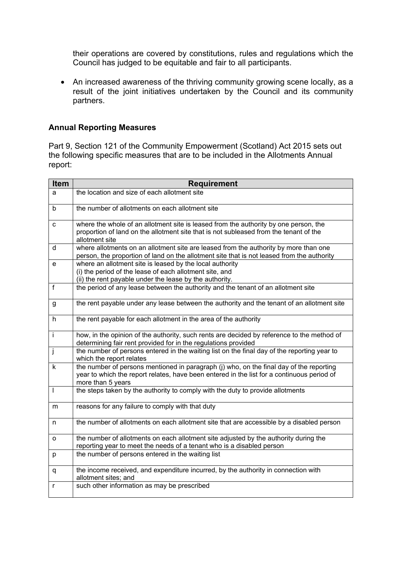their operations are covered by constitutions, rules and regulations which the Council has judged to be equitable and fair to all participants.

• An increased awareness of the thriving community growing scene locally, as a result of the joint initiatives undertaken by the Council and its community partners.

### **Annual Reporting Measures**

Part 9, Section 121 of the Community Empowerment (Scotland) Act 2015 sets out the following specific measures that are to be included in the Allotments Annual report:

| Item                     | <b>Requirement</b>                                                                                                                                                                                         |
|--------------------------|------------------------------------------------------------------------------------------------------------------------------------------------------------------------------------------------------------|
| a                        | the location and size of each allotment site                                                                                                                                                               |
| b                        | the number of allotments on each allotment site                                                                                                                                                            |
| С                        | where the whole of an allotment site is leased from the authority by one person, the<br>proportion of land on the allotment site that is not subleased from the tenant of the<br>allotment site            |
| d                        | where allotments on an allotment site are leased from the authority by more than one<br>person, the proportion of land on the allotment site that is not leased from the authority                         |
| e                        | where an allotment site is leased by the local authority<br>(i) the period of the lease of each allotment site, and<br>(ii) the rent payable under the lease by the authority.                             |
| f                        | the period of any lease between the authority and the tenant of an allotment site                                                                                                                          |
| g                        | the rent payable under any lease between the authority and the tenant of an allotment site                                                                                                                 |
| h                        | the rent payable for each allotment in the area of the authority                                                                                                                                           |
| İ                        | how, in the opinion of the authority, such rents are decided by reference to the method of<br>determining fair rent provided for in the regulations provided                                               |
| j                        | the number of persons entered in the waiting list on the final day of the reporting year to<br>which the report relates                                                                                    |
| k                        | the number of persons mentioned in paragraph (j) who, on the final day of the reporting<br>year to which the report relates, have been entered in the list for a continuous period of<br>more than 5 years |
| $\overline{\phantom{a}}$ | the steps taken by the authority to comply with the duty to provide allotments                                                                                                                             |
| m                        | reasons for any failure to comply with that duty                                                                                                                                                           |
| n                        | the number of allotments on each allotment site that are accessible by a disabled person                                                                                                                   |
| O                        | the number of allotments on each allotment site adjusted by the authority during the<br>reporting year to meet the needs of a tenant who is a disabled person                                              |
| p                        | the number of persons entered in the waiting list                                                                                                                                                          |
| q                        | the income received, and expenditure incurred, by the authority in connection with<br>allotment sites; and                                                                                                 |
| r                        | such other information as may be prescribed                                                                                                                                                                |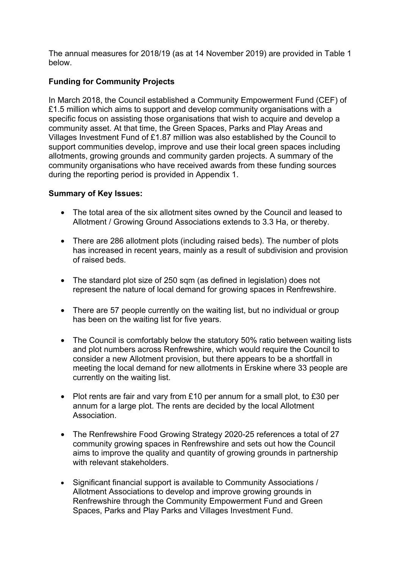The annual measures for 2018/19 (as at 14 November 2019) are provided in Table 1 below.

# **Funding for Community Projects**

In March 2018, the Council established a Community Empowerment Fund (CEF) of £1.5 million which aims to support and develop community organisations with a specific focus on assisting those organisations that wish to acquire and develop a community asset. At that time, the Green Spaces, Parks and Play Areas and Villages Investment Fund of £1.87 million was also established by the Council to support communities develop, improve and use their local green spaces including allotments, growing grounds and community garden projects. A summary of the community organisations who have received awards from these funding sources during the reporting period is provided in Appendix 1.

## **Summary of Key Issues:**

- The total area of the six allotment sites owned by the Council and leased to Allotment / Growing Ground Associations extends to 3.3 Ha, or thereby.
- There are 286 allotment plots (including raised beds). The number of plots has increased in recent years, mainly as a result of subdivision and provision of raised beds.
- The standard plot size of 250 sqm (as defined in legislation) does not represent the nature of local demand for growing spaces in Renfrewshire.
- There are 57 people currently on the waiting list, but no individual or group has been on the waiting list for five years.
- The Council is comfortably below the statutory 50% ratio between waiting lists and plot numbers across Renfrewshire, which would require the Council to consider a new Allotment provision, but there appears to be a shortfall in meeting the local demand for new allotments in Erskine where 33 people are currently on the waiting list.
- Plot rents are fair and vary from £10 per annum for a small plot, to £30 per annum for a large plot. The rents are decided by the local Allotment Association.
- The Renfrewshire Food Growing Strategy 2020-25 references a total of 27 community growing spaces in Renfrewshire and sets out how the Council aims to improve the quality and quantity of growing grounds in partnership with relevant stakeholders.
- Significant financial support is available to Community Associations / Allotment Associations to develop and improve growing grounds in Renfrewshire through the Community Empowerment Fund and Green Spaces, Parks and Play Parks and Villages Investment Fund.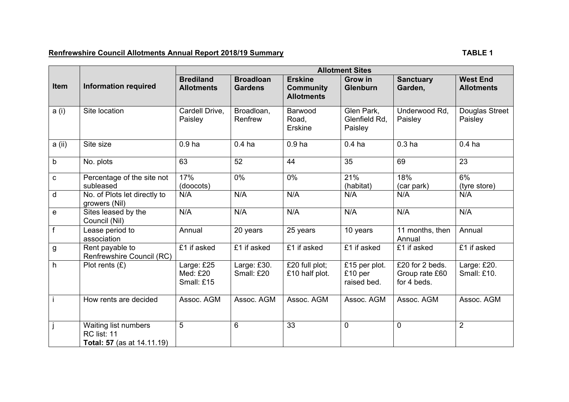# **Renfrewshire Council Allotments Annual Report 2018/19 Summary Connect and Connect Annual Report 2018/19 Summary**

|             |                                                                                 | <b>Allotment Sites</b>                |                                    |                                                         |                                         |                                                  |                                      |
|-------------|---------------------------------------------------------------------------------|---------------------------------------|------------------------------------|---------------------------------------------------------|-----------------------------------------|--------------------------------------------------|--------------------------------------|
| <b>Item</b> | <b>Information required</b>                                                     | <b>Brediland</b><br><b>Allotments</b> | <b>Broadloan</b><br><b>Gardens</b> | <b>Erskine</b><br><b>Community</b><br><b>Allotments</b> | <b>Grow in</b><br>Glenburn              | <b>Sanctuary</b><br>Garden.                      | <b>West End</b><br><b>Allotments</b> |
| a (i)       | Site location                                                                   | Cardell Drive,<br>Paisley             | Broadloan,<br>Renfrew              | Barwood<br>Road,<br><b>Erskine</b>                      | Glen Park,<br>Glenfield Rd.<br>Paisley  | Underwood Rd.<br>Paisley                         | Douglas Street<br>Paisley            |
| a (ii)      | Site size                                                                       | 0.9 <sub>ha</sub>                     | 0.4 <sub>ha</sub>                  | 0.9 <sub>ha</sub>                                       | 0.4 <sub>ha</sub>                       | 0.3 <sub>ha</sub>                                | 0.4 <sub>ha</sub>                    |
| b           | No. plots                                                                       | 63                                    | 52                                 | 44                                                      | 35                                      | 69                                               | 23                                   |
| C           | Percentage of the site not<br>subleased                                         | 17%<br>(doocots)                      | 0%                                 | 0%                                                      | 21%<br>(habitat)                        | 18%<br>(car park)                                | 6%<br>(tyre store)                   |
| d           | No. of Plots let directly to<br>growers (Nil)                                   | N/A                                   | N/A                                | N/A                                                     | N/A                                     | N/A                                              | N/A                                  |
| е           | Sites leased by the<br>Council (Nil)                                            | N/A                                   | N/A                                | N/A                                                     | N/A                                     | N/A                                              | N/A                                  |
| f           | Lease period to<br>association                                                  | Annual                                | 20 years                           | 25 years                                                | 10 years                                | 11 months, then<br>Annual                        | Annual                               |
| g           | Rent payable to<br>Renfrewshire Council (RC)                                    | £1 if asked                           | £1 if asked                        | £1 if asked                                             | £1 if asked                             | £1 if asked                                      | £1 if asked                          |
| h           | Plot rents $(E)$                                                                | Large: £25<br>Med: £20<br>Small: £15  | Large: £30.<br>Small: £20          | £20 full plot;<br>£10 half plot.                        | £15 per plot.<br>£10 per<br>raised bed. | £20 for 2 beds.<br>Group rate £60<br>for 4 beds. | Large: £20.<br>Small: £10.           |
|             | How rents are decided                                                           | Assoc. AGM                            | Assoc. AGM                         | Assoc. AGM                                              | Assoc. AGM                              | Assoc. AGM                                       | Assoc. AGM                           |
|             | Waiting list numbers<br><b>RC</b> list: 11<br><b>Total: 57</b> (as at 14.11.19) | 5                                     | 6                                  | 33                                                      | $\mathbf 0$                             | $\overline{0}$                                   | $\overline{2}$                       |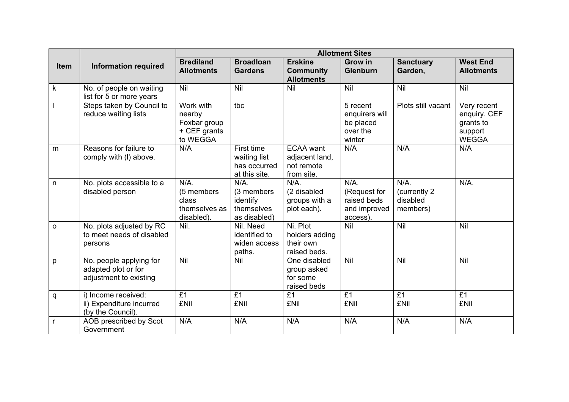|              | <b>Information required</b>                                              | <b>Allotment Sites</b>                                          |                                                                 |                                                                |                                                                    |                                                  |                                                                     |
|--------------|--------------------------------------------------------------------------|-----------------------------------------------------------------|-----------------------------------------------------------------|----------------------------------------------------------------|--------------------------------------------------------------------|--------------------------------------------------|---------------------------------------------------------------------|
| <b>Item</b>  |                                                                          | <b>Brediland</b><br><b>Allotments</b>                           | <b>Broadloan</b><br><b>Gardens</b>                              | <b>Erskine</b><br><b>Community</b><br><b>Allotments</b>        | <b>Grow</b> in<br><b>Glenburn</b>                                  | <b>Sanctuary</b><br>Garden,                      | <b>West End</b><br><b>Allotments</b>                                |
| $\mathsf k$  | No. of people on waiting<br>list for 5 or more years                     | Nil                                                             | Nil                                                             | Nil                                                            | <b>Nil</b>                                                         | Nil                                              | Nil                                                                 |
|              | Steps taken by Council to<br>reduce waiting lists                        | Work with<br>nearby<br>Foxbar group<br>+ CEF grants<br>to WEGGA | tbc                                                             |                                                                | 5 recent<br>enquirers will<br>be placed<br>over the<br>winter      | Plots still vacant                               | Very recent<br>enquiry. CEF<br>grants to<br>support<br><b>WEGGA</b> |
| m            | Reasons for failure to<br>comply with (I) above.                         | N/A                                                             | First time<br>waiting list<br>has occurred<br>at this site.     | <b>ECAA</b> want<br>adjacent land,<br>not remote<br>from site. | N/A                                                                | N/A                                              | N/A                                                                 |
| $\mathsf{n}$ | No. plots accessible to a<br>disabled person                             | $N/A$ .<br>(5 members<br>class<br>themselves as<br>disabled).   | $N/A$ .<br>(3 members<br>identify<br>themselves<br>as disabled) | N/A.<br>(2 disabled<br>groups with a<br>plot each).            | $N/A$ .<br>(Request for<br>raised beds<br>and improved<br>access). | $N/A$ .<br>(currently 2)<br>disabled<br>members) | $N/A$ .                                                             |
| $\circ$      | No. plots adjusted by RC<br>to meet needs of disabled<br>persons         | Nil.                                                            | Nil. Need<br>identified to<br>widen access<br>paths.            | Ni. Plot<br>holders adding<br>their own<br>raised beds.        | <b>Nil</b>                                                         | Nil                                              | Nil                                                                 |
| p            | No. people applying for<br>adapted plot or for<br>adjustment to existing | Nil                                                             | Nil                                                             | One disabled<br>group asked<br>for some<br>raised beds         | Nil                                                                | Nil                                              | Nil                                                                 |
| q            | i) Income received:<br>ii) Expenditure incurred<br>(by the Council).     | £1<br>£Nil                                                      | £1<br>£Nil                                                      | £1<br>£Nil                                                     | £1<br>£Nil                                                         | £1<br>£Nil                                       | £1<br>£Nil                                                          |
| $\mathsf{r}$ | AOB prescribed by Scot<br>Government                                     | N/A                                                             | N/A                                                             | N/A                                                            | N/A                                                                | N/A                                              | N/A                                                                 |